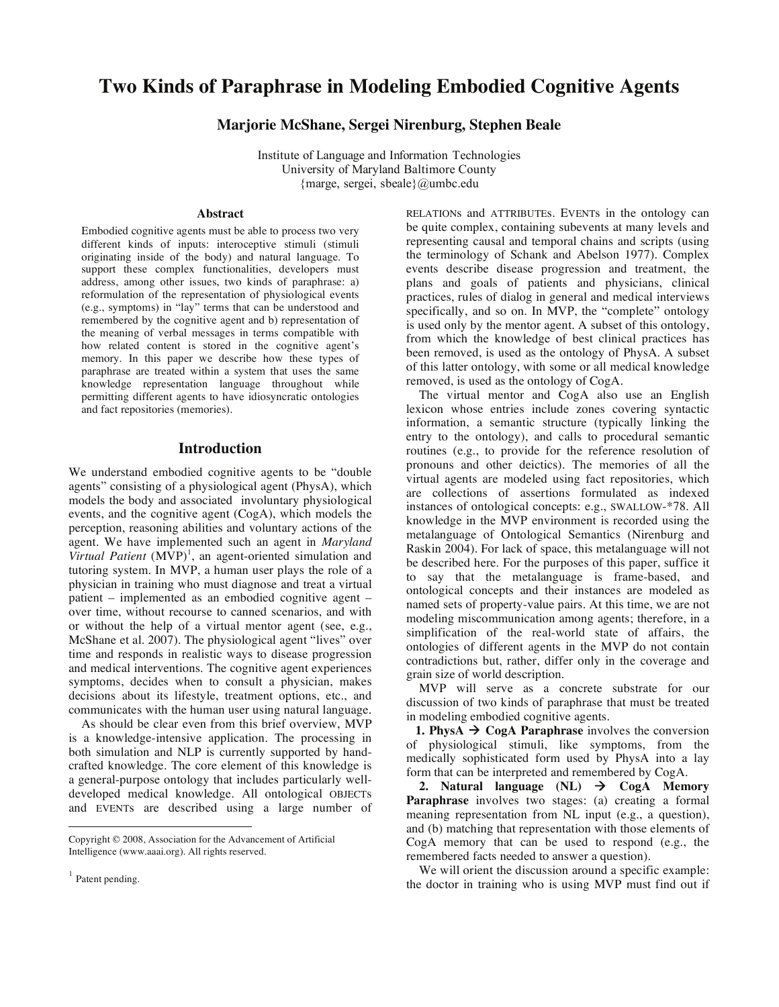# **Two Kinds of Paraphrase in Modeling Embodied Cognitive Agents**

**Marjorie McShane, Sergei Nirenburg, Stephen Beale**

Institute of Language and Information Technologies University of Maryland Baltimore County {marge, sergei, sbeale}@umbc.edu

#### **Abstract**

Embodied cognitive agents must be able to process two very different kinds of inputs: interoceptive stimuli (stimuli originating inside of the body) and natural language. To support these complex functionalities, developers must address, among other issues, two kinds of paraphrase: a) reformulation of the representation of physiological events (e.g., symptoms) in "lay" terms that can be understood and remembered by the cognitive agent and b) representation of the meaning of verbal messages in terms compatible with how related content is stored in the cognitive agent's memory. In this paper we describe how these types of paraphrase are treated within a system that uses the same knowledge representation language throughout while permitting different agents to have idiosyncratic ontologies and fact repositories (memories).

### **Introduction**

We understand embodied cognitive agents to be "double agents" consisting of a physiological agent (PhysA), which models the body and associated involuntary physiological events, and the cognitive agent (CogA), which models the perception, reasoning abilities and voluntary actions of the agent. We have implemented such an agent in *Maryland*  Virtual Patient (MVP)<sup>1</sup>, an agent-oriented simulation and tutoring system. In MVP, a human user plays the role of a physician in training who must diagnose and treat a virtual patient – implemented as an embodied cognitive agent – over time, without recourse to canned scenarios, and with or without the help of a virtual mentor agent (see, e.g., McShane et al. 2007). The physiological agent "lives" over time and responds in realistic ways to disease progression and medical interventions. The cognitive agent experiences symptoms, decides when to consult a physician, makes decisions about its lifestyle, treatment options, etc., and communicates with the human user using natural language.

 As should be clear even from this brief overview, MVP is a knowledge-intensive application. The processing in both simulation and NLP is currently supported by handcrafted knowledge. The core element of this knowledge is a general-purpose ontology that includes particularly welldeveloped medical knowledge. All ontological OBJECTs and EVENTs are described using a large number of

 $\overline{a}$ 

RELATIONs and ATTRIBUTEs. EVENTs in the ontology can be quite complex, containing subevents at many levels and representing causal and temporal chains and scripts (using the terminology of Schank and Abelson 1977). Complex events describe disease progression and treatment, the plans and goals of patients and physicians, clinical practices, rules of dialog in general and medical interviews specifically, and so on. In MVP, the "complete" ontology is used only by the mentor agent. A subset of this ontology, from which the knowledge of best clinical practices has been removed, is used as the ontology of PhysA. A subset of this latter ontology, with some or all medical knowledge removed, is used as the ontology of CogA.

 The virtual mentor and CogA also use an English lexicon whose entries include zones covering syntactic information, a semantic structure (typically linking the entry to the ontology), and calls to procedural semantic routines (e.g., to provide for the reference resolution of pronouns and other deictics). The memories of all the virtual agents are modeled using fact repositories, which are collections of assertions formulated as indexed instances of ontological concepts: e.g., SWALLOW-\*78. All knowledge in the MVP environment is recorded using the metalanguage of Ontological Semantics (Nirenburg and Raskin 2004). For lack of space, this metalanguage will not be described here. For the purposes of this paper, suffice it to say that the metalanguage is frame-based, and ontological concepts and their instances are modeled as named sets of property-value pairs. At this time, we are not modeling miscommunication among agents; therefore, in a simplification of the real-world state of affairs, the ontologies of different agents in the MVP do not contain contradictions but, rather, differ only in the coverage and grain size of world description.

 MVP will serve as a concrete substrate for our discussion of two kinds of paraphrase that must be treated in modeling embodied cognitive agents.

**1. PhysA**  $\rightarrow$  CogA Paraphrase involves the conversion of physiological stimuli, like symptoms, from the medically sophisticated form used by PhysA into a lay form that can be interpreted and remembered by CogA.

2. Natural language  $(NL)$   $\rightarrow$  CogA Memory **Paraphrase** involves two stages: (a) creating a formal meaning representation from NL input (e.g., a question), and (b) matching that representation with those elements of CogA memory that can be used to respond (e.g., the remembered facts needed to answer a question).

 We will orient the discussion around a specific example: the doctor in training who is using MVP must find out if

Copyright © 2008, Association for the Advancement of Artificial Intelligence (www.aaai.org). All rights reserved.

<sup>&</sup>lt;sup>1</sup> Patent pending.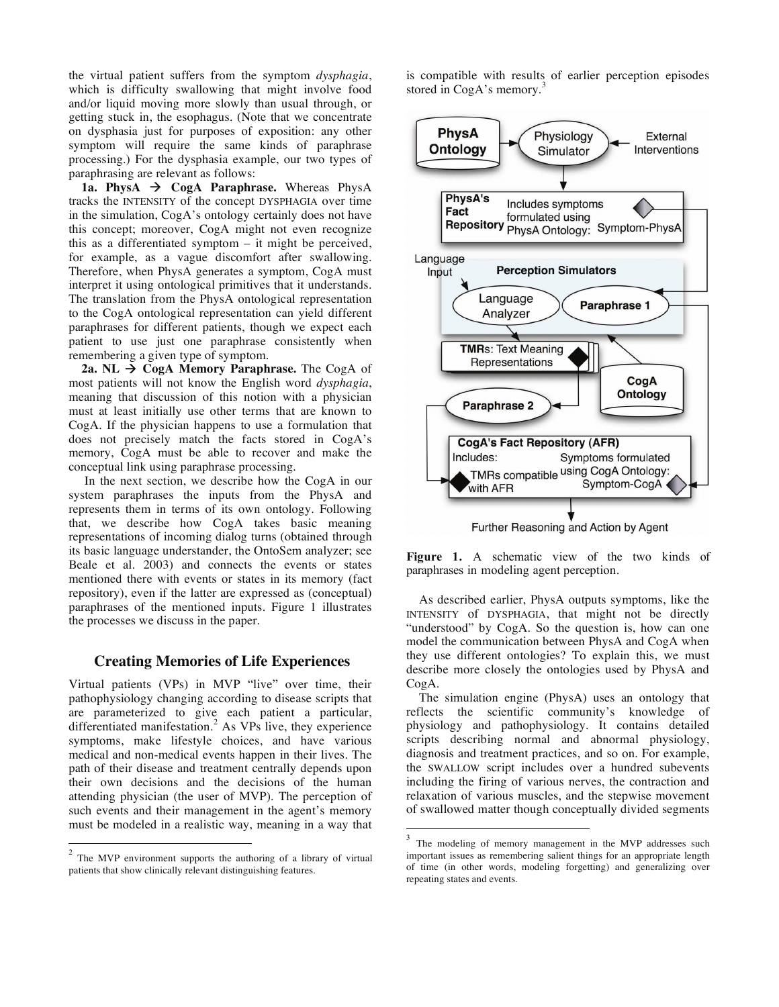the virtual patient suffers from the symptom *dysphagia*, which is difficulty swallowing that might involve food and/or liquid moving more slowly than usual through, or getting stuck in, the esophagus. (Note that we concentrate on dysphasia just for purposes of exposition: any other symptom will require the same kinds of paraphrase processing.) For the dysphasia example, our two types of paraphrasing are relevant as follows:

1a. PhysA  $\rightarrow$  CogA Paraphrase. Whereas PhysA tracks the INTENSITY of the concept DYSPHAGIA over time in the simulation, CogA's ontology certainly does not have this concept; moreover, CogA might not even recognize this as a differentiated symptom – it might be perceived, for example, as a vague discomfort after swallowing. Therefore, when PhysA generates a symptom, CogA must interpret it using ontological primitives that it understands. The translation from the PhysA ontological representation to the CogA ontological representation can yield different paraphrases for different patients, though we expect each patient to use just one paraphrase consistently when remembering a given type of symptom.

**2a. NL → CogA Memory Paraphrase.** The CogA of most patients will not know the English word *dysphagia*, meaning that discussion of this notion with a physician must at least initially use other terms that are known to CogA. If the physician happens to use a formulation that does not precisely match the facts stored in CogA's memory, CogA must be able to recover and make the conceptual link using paraphrase processing.

 In the next section, we describe how the CogA in our system paraphrases the inputs from the PhysA and represents them in terms of its own ontology. Following that, we describe how CogA takes basic meaning representations of incoming dialog turns (obtained through its basic language understander, the OntoSem analyzer; see Beale et al. 2003) and connects the events or states mentioned there with events or states in its memory (fact repository), even if the latter are expressed as (conceptual) paraphrases of the mentioned inputs. Figure 1 illustrates the processes we discuss in the paper.

#### **Creating Memories of Life Experiences**

Virtual patients (VPs) in MVP "live" over time, their pathophysiology changing according to disease scripts that are parameterized to give each patient a particular, differentiated manifestation.<sup>2</sup> As VPs live, they experience symptoms, make lifestyle choices, and have various medical and non-medical events happen in their lives. The path of their disease and treatment centrally depends upon their own decisions and the decisions of the human attending physician (the user of MVP). The perception of such events and their management in the agent's memory must be modeled in a realistic way, meaning in a way that

 $\overline{a}$ 

is compatible with results of earlier perception episodes stored in CogA's memory.<sup>3</sup>



**Figure 1.** A schematic view of the two kinds of paraphrases in modeling agent perception.

 As described earlier, PhysA outputs symptoms, like the INTENSITY of DYSPHAGIA, that might not be directly "understood" by CogA. So the question is, how can one model the communication between PhysA and CogA when they use different ontologies? To explain this, we must describe more closely the ontologies used by PhysA and CogA.

 The simulation engine (PhysA) uses an ontology that reflects the scientific community's knowledge of physiology and pathophysiology. It contains detailed scripts describing normal and abnormal physiology, diagnosis and treatment practices, and so on. For example, the SWALLOW script includes over a hundred subevents including the firing of various nerves, the contraction and relaxation of various muscles, and the stepwise movement of swallowed matter though conceptually divided segments

 $\overline{a}$ 

 $2$  The MVP environment supports the authoring of a library of virtual patients that show clinically relevant distinguishing features.

The modeling of memory management in the MVP addresses such important issues as remembering salient things for an appropriate length of time (in other words, modeling forgetting) and generalizing over repeating states and events.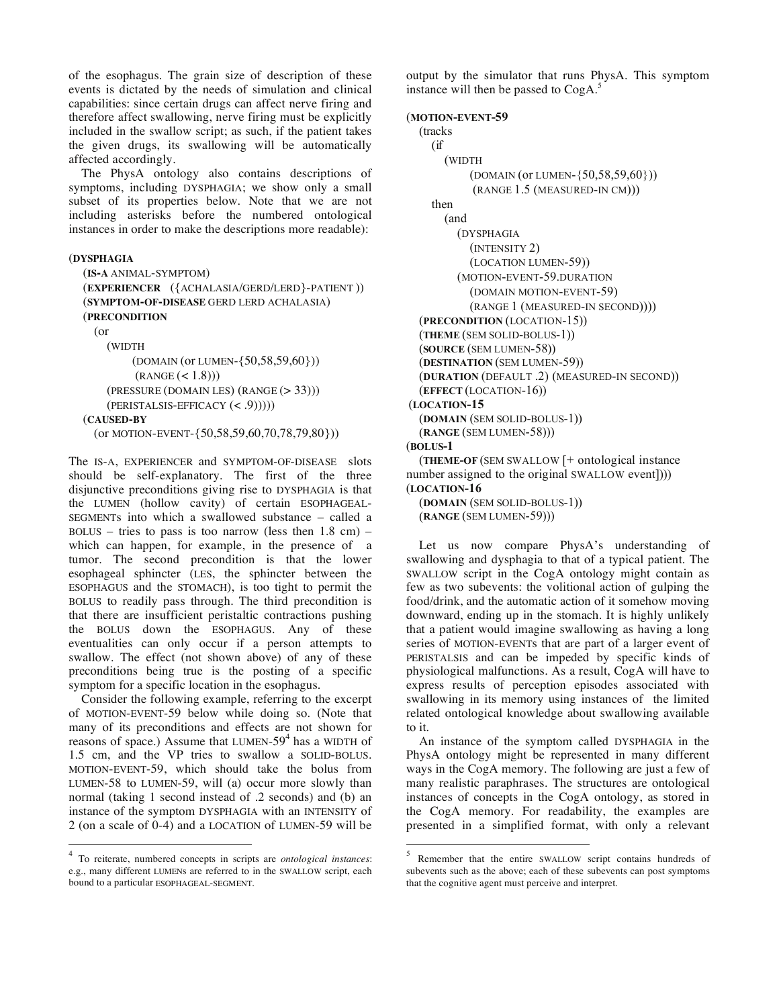of the esophagus. The grain size of description of these events is dictated by the needs of simulation and clinical capabilities: since certain drugs can affect nerve firing and therefore affect swallowing, nerve firing must be explicitly included in the swallow script; as such, if the patient takes the given drugs, its swallowing will be automatically affected accordingly.

 The PhysA ontology also contains descriptions of symptoms, including DYSPHAGIA; we show only a small subset of its properties below. Note that we are not including asterisks before the numbered ontological instances in order to make the descriptions more readable):

```
(DYSPHAGIA
```

```
(IS-A ANIMAL-SYMPTOM) 
(EXPERIENCER ({ACHALASIA/GERD/LERD}-PATIENT )) 
(SYMPTOM-OF-DISEASE GERD LERD ACHALASIA) 
(PRECONDITION 
  (or 
     (WIDTH 
         (DOMAIN (or LUMEN-{50,58,59,60})) 
         (RANGE (< 1.8)))(PRESSURE (DOMAIN LES) (RANGE (> 33)))
```
(PERISTALSIS-EFFICACY (< .9)))))

```
(CAUSED-BY
```
 $\overline{a}$ 

(or MOTION-EVENT-{50,58,59,60,70,78,79,80}))

The IS-A, EXPERIENCER and SYMPTOM-OF-DISEASE slots should be self-explanatory. The first of the three disjunctive preconditions giving rise to DYSPHAGIA is that the LUMEN (hollow cavity) of certain ESOPHAGEAL-SEGMENTs into which a swallowed substance – called a BOLUS – tries to pass is too narrow (less then  $1.8 \text{ cm}$ ) – which can happen, for example, in the presence of a tumor. The second precondition is that the lower esophageal sphincter (LES, the sphincter between the ESOPHAGUS and the STOMACH), is too tight to permit the BOLUS to readily pass through. The third precondition is that there are insufficient peristaltic contractions pushing the BOLUS down the ESOPHAGUS. Any of these eventualities can only occur if a person attempts to swallow. The effect (not shown above) of any of these preconditions being true is the posting of a specific symptom for a specific location in the esophagus.

 Consider the following example, referring to the excerpt of MOTION-EVENT-59 below while doing so. (Note that many of its preconditions and effects are not shown for reasons of space.) Assume that LUMEN- $59<sup>4</sup>$  has a WIDTH of 1.5 cm, and the VP tries to swallow a SOLID-BOLUS. MOTION-EVENT-59, which should take the bolus from LUMEN-58 to LUMEN-59, will (a) occur more slowly than normal (taking 1 second instead of .2 seconds) and (b) an instance of the symptom DYSPHAGIA with an INTENSITY of 2 (on a scale of 0-4) and a LOCATION of LUMEN-59 will be output by the simulator that runs PhysA. This symptom instance will then be passed to CogA.<sup>5</sup>

(**MOTION-EVENT-59** 

```
(tracks 
    (if 
        (WIDTH 
            (DOMAIN (or LUMEN-{50,58,59,60})) 
             (RANGE 1.5 (MEASURED-IN CM))) 
     then 
        (and 
          (DYSPHAGIA 
            (INTENSITY 2) 
            (LOCATION LUMEN-59)) 
          (MOTION-EVENT-59.DURATION 
            (DOMAIN MOTION-EVENT-59) 
            (RANGE 1 (MEASURED-IN SECOND))))
  (PRECONDITION (LOCATION-15)) 
   (THEME (SEM SOLID-BOLUS-1)) 
   (SOURCE (SEM LUMEN-58)) 
   (DESTINATION (SEM LUMEN-59)) 
   (DURATION (DEFAULT .2) (MEASURED-IN SECOND)) 
   (EFFECT (LOCATION-16)) 
(LOCATION-15 
   (DOMAIN (SEM SOLID-BOLUS-1)) 
   (RANGE (SEM LUMEN-58))) 
(BOLUS-1
   (THEME-OF (SEM SWALLOW [+ ontological instance 
number assigned to the original SWALLOW event])))
(LOCATION-16
```
 (**DOMAIN** (SEM SOLID-BOLUS-1)) (**RANGE** (SEM LUMEN-59)))

 Let us now compare PhysA's understanding of swallowing and dysphagia to that of a typical patient. The SWALLOW script in the CogA ontology might contain as few as two subevents: the volitional action of gulping the food/drink, and the automatic action of it somehow moving downward, ending up in the stomach. It is highly unlikely that a patient would imagine swallowing as having a long series of MOTION-EVENTs that are part of a larger event of PERISTALSIS and can be impeded by specific kinds of physiological malfunctions. As a result, CogA will have to express results of perception episodes associated with swallowing in its memory using instances of the limited related ontological knowledge about swallowing available to it.

 An instance of the symptom called DYSPHAGIA in the PhysA ontology might be represented in many different ways in the CogA memory. The following are just a few of many realistic paraphrases. The structures are ontological instances of concepts in the CogA ontology, as stored in the CogA memory. For readability, the examples are presented in a simplified format, with only a relevant

 $\overline{a}$ 

<sup>4</sup> To reiterate, numbered concepts in scripts are *ontological instances*: e.g., many different LUMENs are referred to in the SWALLOW script, each bound to a particular ESOPHAGEAL-SEGMENT.

<sup>5</sup> Remember that the entire SWALLOW script contains hundreds of subevents such as the above; each of these subevents can post symptoms that the cognitive agent must perceive and interpret.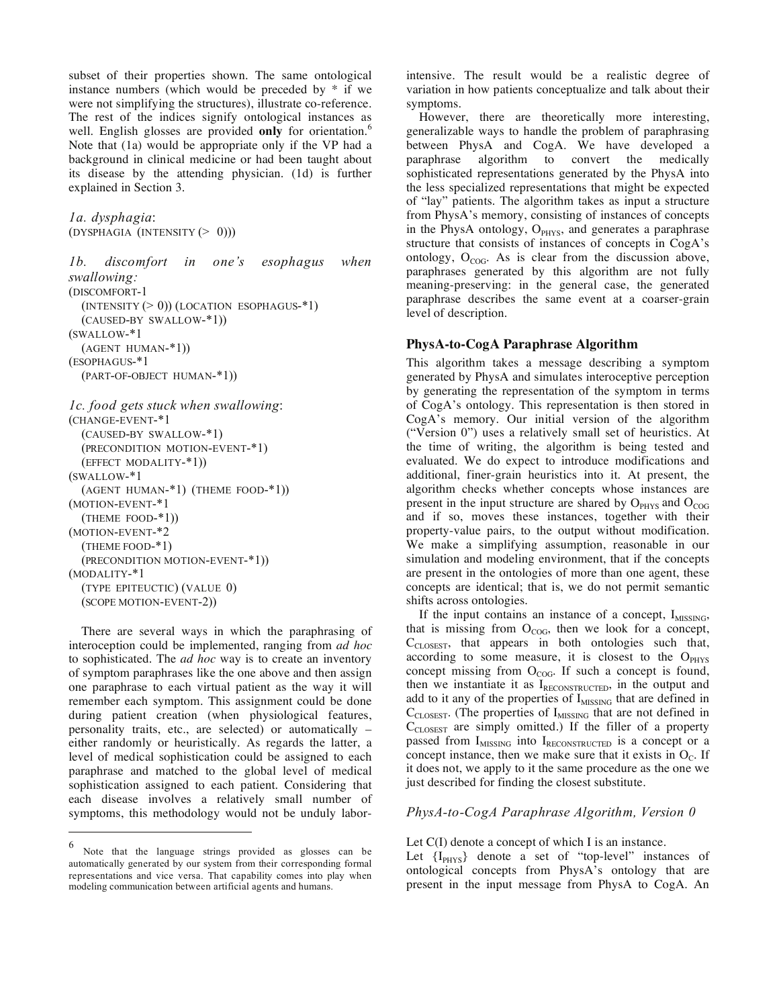subset of their properties shown. The same ontological instance numbers (which would be preceded by \* if we were not simplifying the structures), illustrate co-reference. The rest of the indices signify ontological instances as well. English glosses are provided only for orientation.<sup>6</sup> Note that (1a) would be appropriate only if the VP had a background in clinical medicine or had been taught about its disease by the attending physician. (1d) is further explained in Section 3.

```
1a. dysphagia: 
(DYSPHAGIA (INTENSITY (> 0)))
```
*1b. discomfort in one's esophagus when swallowing:* (DISCOMFORT-1  $(INTENSITY (> 0)) (LOCALION ESOPHAGUS-*1)$  (CAUSED-BY SWALLOW-\*1)) (SWALLOW-\*1 (AGENT HUMAN-\*1)) (ESOPHAGUS-\*1 (PART-OF-OBJECT HUMAN-\*1)) *1c. food gets stuck when swallowing*: (CHANGE-EVENT-\*1 (CAUSED-BY SWALLOW-\*1)

```
 (PRECONDITION MOTION-EVENT-*1) 
   (EFFECT MODALITY-*1)) 
(SWALLOW-*1 
   (AGENT HUMAN-*1) (THEME FOOD-*1)) 
(MOTION-EVENT-*1 
   (THEME FOOD-*1)) 
(MOTION-EVENT-*2 
   (THEME FOOD-*1) 
   (PRECONDITION MOTION-EVENT-*1)) 
(MODALITY-*1 
   (TYPE EPITEUCTIC) (VALUE 0) 
   (SCOPE MOTION-EVENT-2))
```
 There are several ways in which the paraphrasing of interoception could be implemented, ranging from *ad hoc* to sophisticated. The *ad hoc* way is to create an inventory of symptom paraphrases like the one above and then assign one paraphrase to each virtual patient as the way it will remember each symptom. This assignment could be done during patient creation (when physiological features, personality traits, etc., are selected) or automatically – either randomly or heuristically. As regards the latter, a level of medical sophistication could be assigned to each paraphrase and matched to the global level of medical sophistication assigned to each patient. Considering that each disease involves a relatively small number of symptoms, this methodology would not be unduly labor-

 $\overline{a}$ 

intensive. The result would be a realistic degree of variation in how patients conceptualize and talk about their symptoms.

 However, there are theoretically more interesting, generalizable ways to handle the problem of paraphrasing between PhysA and CogA. We have developed a paraphrase algorithm to convert the medically sophisticated representations generated by the PhysA into the less specialized representations that might be expected of "lay" patients. The algorithm takes as input a structure from PhysA's memory, consisting of instances of concepts in the PhysA ontology, O<sub>PHYS</sub>, and generates a paraphrase structure that consists of instances of concepts in CogA's ontology,  $O_{COG}$ . As is clear from the discussion above, paraphrases generated by this algorithm are not fully meaning-preserving: in the general case, the generated paraphrase describes the same event at a coarser-grain level of description.

### **PhysA-to-CogA Paraphrase Algorithm**

This algorithm takes a message describing a symptom generated by PhysA and simulates interoceptive perception by generating the representation of the symptom in terms of CogA's ontology. This representation is then stored in CogA's memory. Our initial version of the algorithm ("Version 0") uses a relatively small set of heuristics. At the time of writing, the algorithm is being tested and evaluated. We do expect to introduce modifications and additional, finer-grain heuristics into it. At present, the algorithm checks whether concepts whose instances are present in the input structure are shared by  $O_{PHYS}$  and  $O_{COG}$ and if so, moves these instances, together with their property-value pairs, to the output without modification. We make a simplifying assumption, reasonable in our simulation and modeling environment, that if the concepts are present in the ontologies of more than one agent, these concepts are identical; that is, we do not permit semantic shifts across ontologies.

If the input contains an instance of a concept,  $I_{MISSING}$ , that is missing from  $O_{COG}$ , then we look for a concept, C<sub>CLOSEST</sub>, that appears in both ontologies such that, according to some measure, it is closest to the  $O<sub>PHYS</sub>$ concept missing from  $O_{COG}$ . If such a concept is found, then we instantiate it as  $I_{RECONSTRUCTED}$ , in the output and add to it any of the properties of I<sub>MISSING</sub> that are defined in  $C_{\text{CLOSEST}}$ . (The properties of  $I_{\text{MISSING}}$  that are not defined in  $C_{\text{CLOSEST}}$  are simply omitted.) If the filler of a property passed from I<sub>MISSING</sub> into I<sub>RECONSTRUCTED</sub> is a concept or a concept instance, then we make sure that it exists in  $O<sub>C</sub>$ . If it does not, we apply to it the same procedure as the one we just described for finding the closest substitute.

## *PhysA-to-CogA Paraphrase Algorithm, Version 0*

Let C(I) denote a concept of which I is an instance.

Let  ${I_{PHYS}}$  denote a set of "top-level" instances of ontological concepts from PhysA's ontology that are present in the input message from PhysA to CogA. An

<sup>6</sup> Note that the language strings provided as glosses can be automatically generated by our system from their corresponding formal representations and vice versa. That capability comes into play when modeling communication between artificial agents and humans.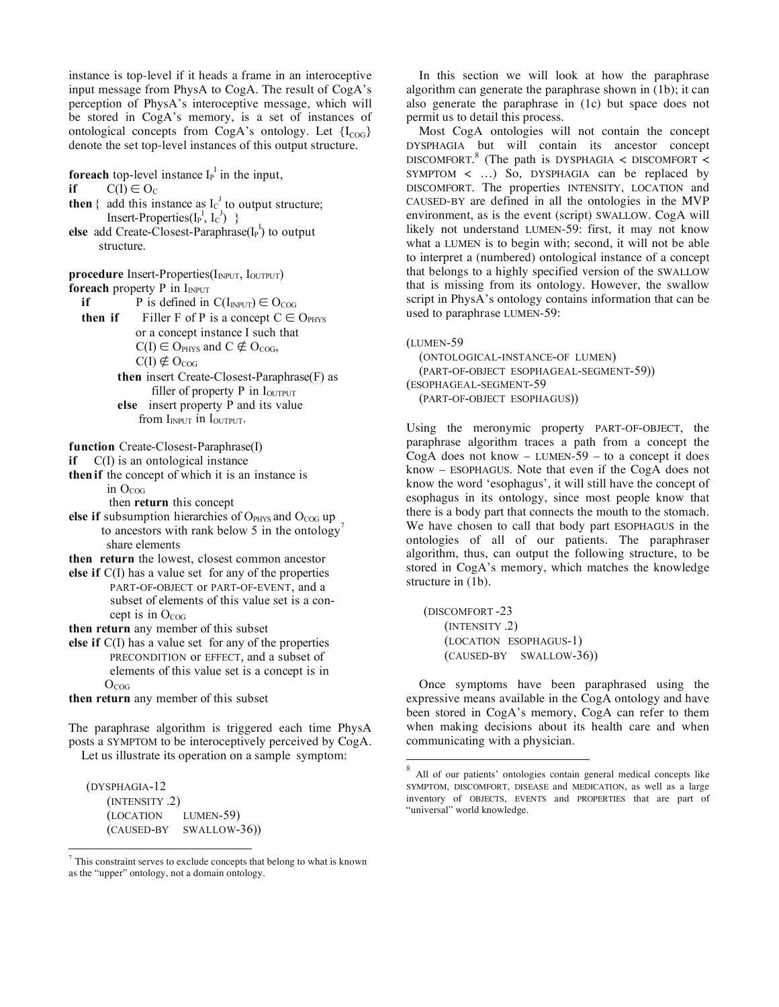instance is top-level if it heads a frame in an interoceptive input message from PhysA to CogA. The result of CogA's perception of PhysA's interoceptive message, which will be stored in CogA's memory, is a set of instances of ontological concepts from CogA's ontology. Let  ${I_{COG}}$ denote the set top-level instances of this output structure.

**foreach** top-level instance  $I_P^I$  in the input,

**if**  $C(I) \in O_C$ 

- **then** { add this instance as  $I_C^J$  to output structure; Insert-Properties $(I_P^I, I_C^J)$ }
- **else** add Create-Closest-Paraphrase $(I_P^I)$  to output structure.

**procedure** Insert-Properties(I<sub>NPUT</sub>, I<sub>OUTPUT</sub>) **foreach** property P in  $I_{INPUT}$ 

**if** P is defined in  $C(I_{INPUT}) \in O_{COG}$ 

- **then if** Filler F of P is a concept  $C \in O_{PHYS}$  or a concept instance I such that  $C(I) \in O_{PHYS}$  and  $C \notin O_{COG}$ ,  $C(I) \notin O_{COG}$  **then** insert Create-Closest-Paraphrase(F) as
	- filler of property  $P$  in  $I_{\text{OUTPUT}}$  **else** insert property P and its value from  $I_{INPUT}$  in  $I_{OUTPUT}$ .

**function** Create-Closest-Paraphrase(I)

**if** C(I) is an ontological instance

**thenif** the concept of which it is an instance is in  $O<sub>COG</sub>$ 

then **return** this concept

- else if subsumption hierarchies of OPHYS and O<sub>COG</sub> up to ancestors with rank below 5 in the ontology' share elements
- **then return** the lowest, closest common ancestor
- **else if** C(I) has a value set for any of the properties PART-OF-OBJECT or PART-OF-EVENT, and a subset of elements of this value set is a con cept is in  $O_{COG}$

**then return** any member of this subset

**else if** C(I) has a value set for any of the properties PRECONDITION or EFFECT, and a subset of elements of this value set is a concept is in  $O_{COG}$ 

**then return** any member of this subset

The paraphrase algorithm is triggered each time PhysA posts a SYMPTOM to be interoceptively perceived by CogA. Let us illustrate its operation on a sample symptom:

(DYSPHAGIA-12 (INTENSITY .2) (LOCATION LUMEN-59) (CAUSED-BY SWALLOW-36))

 $\overline{a}$ 

In this section we will look at how the paraphrase algorithm can generate the paraphrase shown in (1b); it can also generate the paraphrase in (1c) but space does not permit us to detail this process.

 Most CogA ontologies will not contain the concept DYSPHAGIA but will contain its ancestor concept DISCOMFORT.<sup>8</sup> (The path is DYSPHAGIA  $\lt$  DISCOMFORT  $\lt$ SYMPTOM < …) So, DYSPHAGIA can be replaced by DISCOMFORT. The properties INTENSITY, LOCATION and CAUSED-BY are defined in all the ontologies in the MVP environment, as is the event (script) SWALLOW. CogA will likely not understand LUMEN-59: first, it may not know what a LUMEN is to begin with; second, it will not be able to interpret a (numbered) ontological instance of a concept that belongs to a highly specified version of the SWALLOW that is missing from its ontology. However, the swallow script in PhysA's ontology contains information that can be used to paraphrase LUMEN-59:

(LUMEN-59

 $\overline{a}$ 

 (ONTOLOGICAL-INSTANCE-OF LUMEN) (PART-OF-OBJECT ESOPHAGEAL-SEGMENT-59)) (ESOPHAGEAL-SEGMENT-59 (PART-OF-OBJECT ESOPHAGUS))

Using the meronymic property PART-OF-OBJECT, the paraphrase algorithm traces a path from a concept the CogA does not know  $-$  LUMEN-59  $-$  to a concept it does know – ESOPHAGUS. Note that even if the CogA does not know the word 'esophagus', it will still have the concept of esophagus in its ontology, since most people know that there is a body part that connects the mouth to the stomach. We have chosen to call that body part ESOPHAGUS in the ontologies of all of our patients. The paraphraser algorithm, thus, can output the following structure, to be stored in CogA's memory, which matches the knowledge structure in (1b).

 (DISCOMFORT -23 (INTENSITY .2) (LOCATION ESOPHAGUS-1) (CAUSED-BY SWALLOW-36))

 Once symptoms have been paraphrased using the expressive means available in the CogA ontology and have been stored in CogA's memory, CogA can refer to them when making decisions about its health care and when communicating with a physician.

 $7$  This constraint serves to exclude concepts that belong to what is known as the "upper" ontology, not a domain ontology.

<sup>8</sup> All of our patients' ontologies contain general medical concepts like SYMPTOM, DISCOMFORT, DISEASE and MEDICATION, as well as a large inventory of OBJECTS, EVENTS and PROPERTIES that are part of "universal" world knowledge.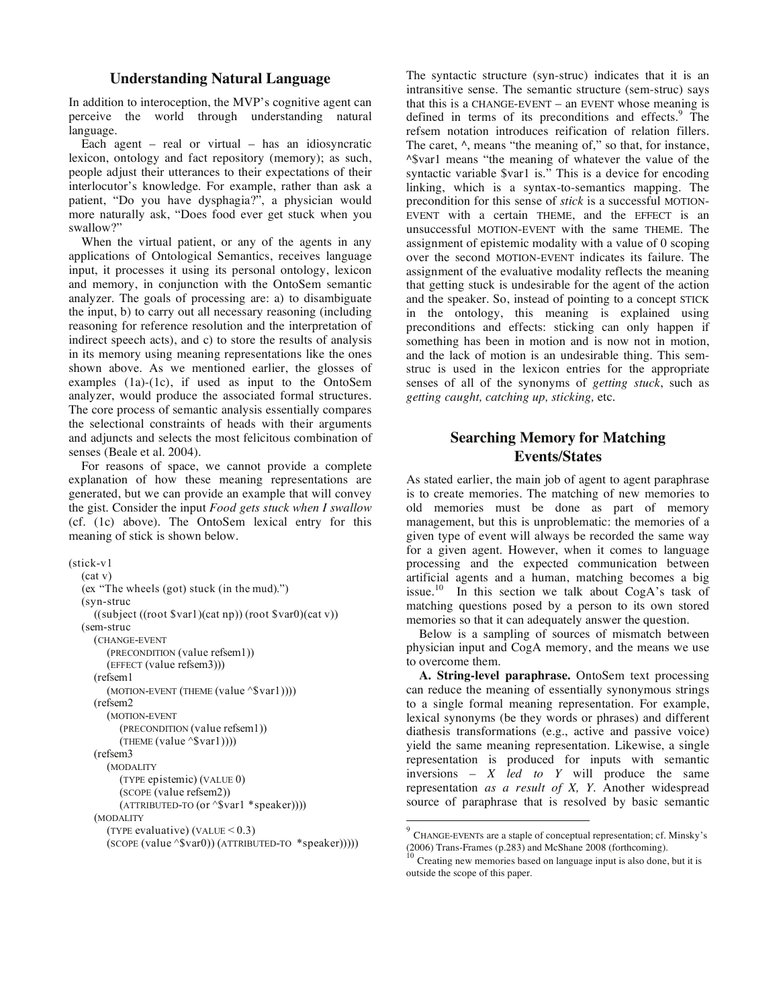### **Understanding Natural Language**

In addition to interoception, the MVP's cognitive agent can perceive the world through understanding natural language.

 Each agent – real or virtual – has an idiosyncratic lexicon, ontology and fact repository (memory); as such, people adjust their utterances to their expectations of their interlocutor's knowledge. For example, rather than ask a patient, "Do you have dysphagia?", a physician would more naturally ask, "Does food ever get stuck when you swallow?"

 When the virtual patient, or any of the agents in any applications of Ontological Semantics, receives language input, it processes it using its personal ontology, lexicon and memory, in conjunction with the OntoSem semantic analyzer. The goals of processing are: a) to disambiguate the input, b) to carry out all necessary reasoning (including reasoning for reference resolution and the interpretation of indirect speech acts), and c) to store the results of analysis in its memory using meaning representations like the ones shown above. As we mentioned earlier, the glosses of examples (1a)-(1c), if used as input to the OntoSem analyzer, would produce the associated formal structures. The core process of semantic analysis essentially compares the selectional constraints of heads with their arguments and adjuncts and selects the most felicitous combination of senses (Beale et al. 2004).

 For reasons of space, we cannot provide a complete explanation of how these meaning representations are generated, but we can provide an example that will convey the gist. Consider the input *Food gets stuck when I swallow*  (cf. (1c) above). The OntoSem lexical entry for this meaning of stick is shown below.

```
(stick-v1 
   (cat v) 
   (ex "The wheels (got) stuck (in the mud).") 
   (syn-struc 
      ((subject ((root $var1)(cat np)) (root $var0)(cat v)) 
    (sem-struc 
      (CHANGE-EVENT
         (PRECONDITION (value refsem1)) 
         (EFFECT (value refsem3))) 
      (refsem1 
        (MOTION-EVENT (THEME (value ^$var1))))
      (refsem2 
         (MOTION-EVENT
            (PRECONDITION (value refsem1)) 
           (THEME (value \text{``\$var1)})) (refsem3 
         (MODALITY 
            (TYPE epistemic) (VALUE 0) 
            (SCOPE (value refsem2)) 
            (ATTRIBUTED-TO (or ^$var1 *speaker)))) 
      (MODALITY 
        (TYPE evaluative) (VALUE < 0.3)
        (SCOPE (value \text{``\$var0)}) (ATTRIBUTED-TO \text{''speaker}))))
```
The syntactic structure (syn-struc) indicates that it is an intransitive sense. The semantic structure (sem-struc) says that this is a CHANGE-EVENT – an EVENT whose meaning is defined in terms of its preconditions and effects.<sup>9</sup> The refsem notation introduces reification of relation fillers. The caret,  $\wedge$ , means "the meaning of," so that, for instance, ^\$var1 means "the meaning of whatever the value of the syntactic variable \$var1 is." This is a device for encoding linking, which is a syntax-to-semantics mapping. The precondition for this sense of *stick* is a successful MOTION-EVENT with a certain THEME, and the EFFECT is an unsuccessful MOTION-EVENT with the same THEME. The assignment of epistemic modality with a value of 0 scoping over the second MOTION-EVENT indicates its failure. The assignment of the evaluative modality reflects the meaning that getting stuck is undesirable for the agent of the action and the speaker. So, instead of pointing to a concept STICK in the ontology, this meaning is explained using preconditions and effects: sticking can only happen if something has been in motion and is now not in motion, and the lack of motion is an undesirable thing. This semstruc is used in the lexicon entries for the appropriate senses of all of the synonyms of *getting stuck*, such as *getting caught, catching up, sticking,* etc.

# **Searching Memory for Matching Events/States**

As stated earlier, the main job of agent to agent paraphrase is to create memories. The matching of new memories to old memories must be done as part of memory management, but this is unproblematic: the memories of a given type of event will always be recorded the same way for a given agent. However, when it comes to language processing and the expected communication between artificial agents and a human, matching becomes a big issue.<sup>10</sup> In this section we talk about  $CogA$ 's task of matching questions posed by a person to its own stored memories so that it can adequately answer the question.

 Below is a sampling of sources of mismatch between physician input and CogA memory, and the means we use to overcome them.

**A. String-level paraphrase.** OntoSem text processing can reduce the meaning of essentially synonymous strings to a single formal meaning representation. For example, lexical synonyms (be they words or phrases) and different diathesis transformations (e.g., active and passive voice) yield the same meaning representation. Likewise, a single representation is produced for inputs with semantic inversions – *X led to Y* will produce the same representation *as a result of X, Y*. Another widespread source of paraphrase that is resolved by basic semantic

 $\overline{a}$ 

<sup>9</sup> CHANGE-EVENTs are a staple of conceptual representation; cf. Minsky's (2006) Trans-Frames (p.283) and McShane 2008 (forthcoming).

Creating new memories based on language input is also done, but it is outside the scope of this paper.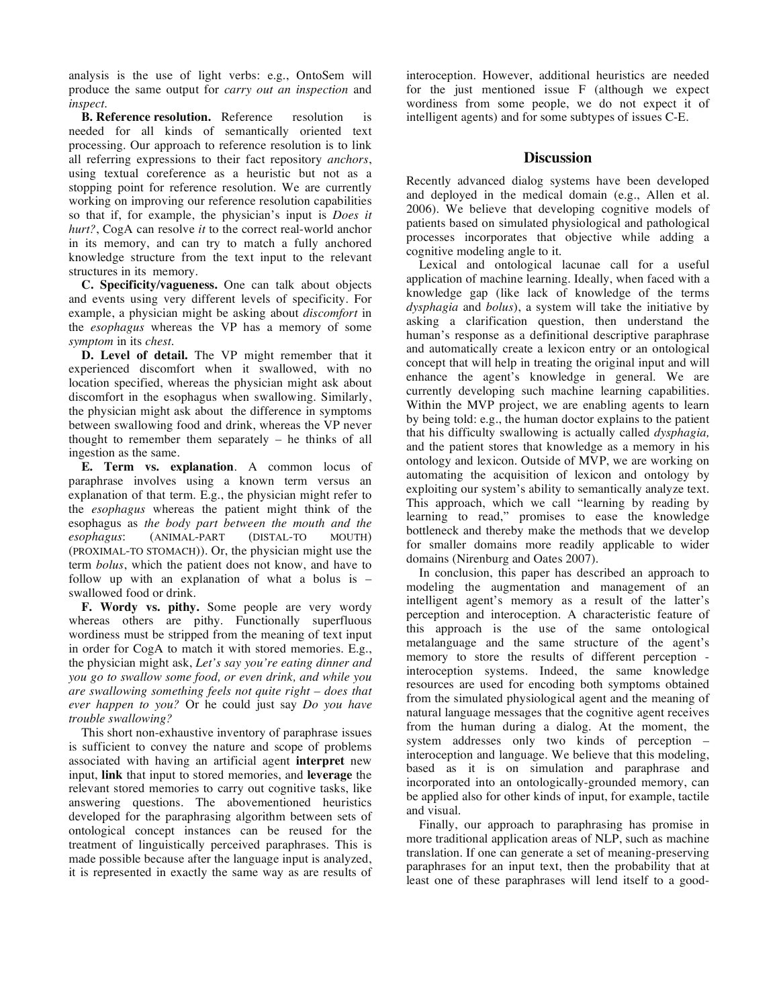analysis is the use of light verbs: e.g., OntoSem will produce the same output for *carry out an inspection* and *inspect*.

**B. Reference resolution.** Reference resolution is needed for all kinds of semantically oriented text processing. Our approach to reference resolution is to link all referring expressions to their fact repository *anchors*, using textual coreference as a heuristic but not as a stopping point for reference resolution. We are currently working on improving our reference resolution capabilities so that if, for example, the physician's input is *Does it hurt?*, CogA can resolve *it* to the correct real-world anchor in its memory, and can try to match a fully anchored knowledge structure from the text input to the relevant structures in its memory.

**C. Specificity/vagueness.** One can talk about objects and events using very different levels of specificity. For example, a physician might be asking about *discomfort* in the *esophagus* whereas the VP has a memory of some *symptom* in its *chest*.

**D. Level of detail.** The VP might remember that it experienced discomfort when it swallowed, with no location specified, whereas the physician might ask about discomfort in the esophagus when swallowing. Similarly, the physician might ask about the difference in symptoms between swallowing food and drink, whereas the VP never thought to remember them separately – he thinks of all ingestion as the same.

**E. Term vs. explanation**. A common locus of paraphrase involves using a known term versus an explanation of that term. E.g., the physician might refer to the *esophagus* whereas the patient might think of the esophagus as *the body part between the mouth and the*   $(ANIMAL-PART$ (PROXIMAL-TO STOMACH)). Or, the physician might use the term *bolus*, which the patient does not know, and have to follow up with an explanation of what a bolus is – swallowed food or drink.

**F. Wordy vs. pithy.** Some people are very wordy whereas others are pithy. Functionally superfluous wordiness must be stripped from the meaning of text input in order for CogA to match it with stored memories. E.g., the physician might ask, *Let's say you're eating dinner and you go to swallow some food, or even drink, and while you are swallowing something feels not quite right – does that ever happen to you?* Or he could just say *Do you have trouble swallowing?* 

This short non-exhaustive inventory of paraphrase issues is sufficient to convey the nature and scope of problems associated with having an artificial agent **interpret** new input, **link** that input to stored memories, and **leverage** the relevant stored memories to carry out cognitive tasks, like answering questions. The abovementioned heuristics developed for the paraphrasing algorithm between sets of ontological concept instances can be reused for the treatment of linguistically perceived paraphrases. This is made possible because after the language input is analyzed, it is represented in exactly the same way as are results of interoception. However, additional heuristics are needed for the just mentioned issue F (although we expect wordiness from some people, we do not expect it of intelligent agents) and for some subtypes of issues C-E.

### **Discussion**

Recently advanced dialog systems have been developed and deployed in the medical domain (e.g., Allen et al. 2006). We believe that developing cognitive models of patients based on simulated physiological and pathological processes incorporates that objective while adding a cognitive modeling angle to it.

 Lexical and ontological lacunae call for a useful application of machine learning. Ideally, when faced with a knowledge gap (like lack of knowledge of the terms *dysphagia* and *bolus*), a system will take the initiative by asking a clarification question, then understand the human's response as a definitional descriptive paraphrase and automatically create a lexicon entry or an ontological concept that will help in treating the original input and will enhance the agent's knowledge in general. We are currently developing such machine learning capabilities. Within the MVP project, we are enabling agents to learn by being told: e.g., the human doctor explains to the patient that his difficulty swallowing is actually called *dysphagia,*  and the patient stores that knowledge as a memory in his ontology and lexicon. Outside of MVP, we are working on automating the acquisition of lexicon and ontology by exploiting our system's ability to semantically analyze text. This approach, which we call "learning by reading by learning to read," promises to ease the knowledge bottleneck and thereby make the methods that we develop for smaller domains more readily applicable to wider domains (Nirenburg and Oates 2007).

 In conclusion, this paper has described an approach to modeling the augmentation and management of an intelligent agent's memory as a result of the latter's perception and interoception. A characteristic feature of this approach is the use of the same ontological metalanguage and the same structure of the agent's memory to store the results of different perception interoception systems. Indeed, the same knowledge resources are used for encoding both symptoms obtained from the simulated physiological agent and the meaning of natural language messages that the cognitive agent receives from the human during a dialog. At the moment, the system addresses only two kinds of perception – interoception and language. We believe that this modeling, based as it is on simulation and paraphrase and incorporated into an ontologically-grounded memory, can be applied also for other kinds of input, for example, tactile and visual.

 Finally, our approach to paraphrasing has promise in more traditional application areas of NLP, such as machine translation. If one can generate a set of meaning-preserving paraphrases for an input text, then the probability that at least one of these paraphrases will lend itself to a good